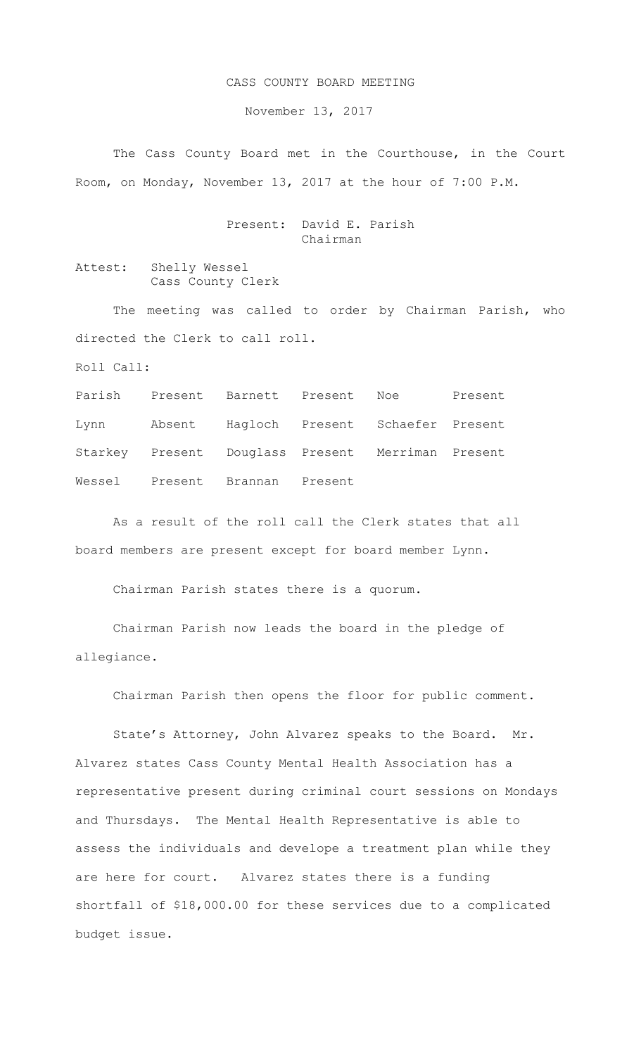## CASS COUNTY BOARD MEETING

November 13, 2017

The Cass County Board met in the Courthouse, in the Court Room, on Monday, November 13, 2017 at the hour of 7:00 P.M.

> Present: David E. Parish Chairman

Attest: Shelly Wessel Cass County Clerk

The meeting was called to order by Chairman Parish, who directed the Clerk to call roll.

Roll Call:

Parish Present Barnett Present Noe Present Lynn Absent Hagloch Present Schaefer Present Starkey Present Douglass Present Merriman Present Wessel Present Brannan Present

As a result of the roll call the Clerk states that all board members are present except for board member Lynn.

Chairman Parish states there is a quorum.

Chairman Parish now leads the board in the pledge of allegiance.

Chairman Parish then opens the floor for public comment.

State's Attorney, John Alvarez speaks to the Board. Mr. Alvarez states Cass County Mental Health Association has a representative present during criminal court sessions on Mondays and Thursdays. The Mental Health Representative is able to assess the individuals and develope a treatment plan while they are here for court. Alvarez states there is a funding shortfall of \$18,000.00 for these services due to a complicated budget issue.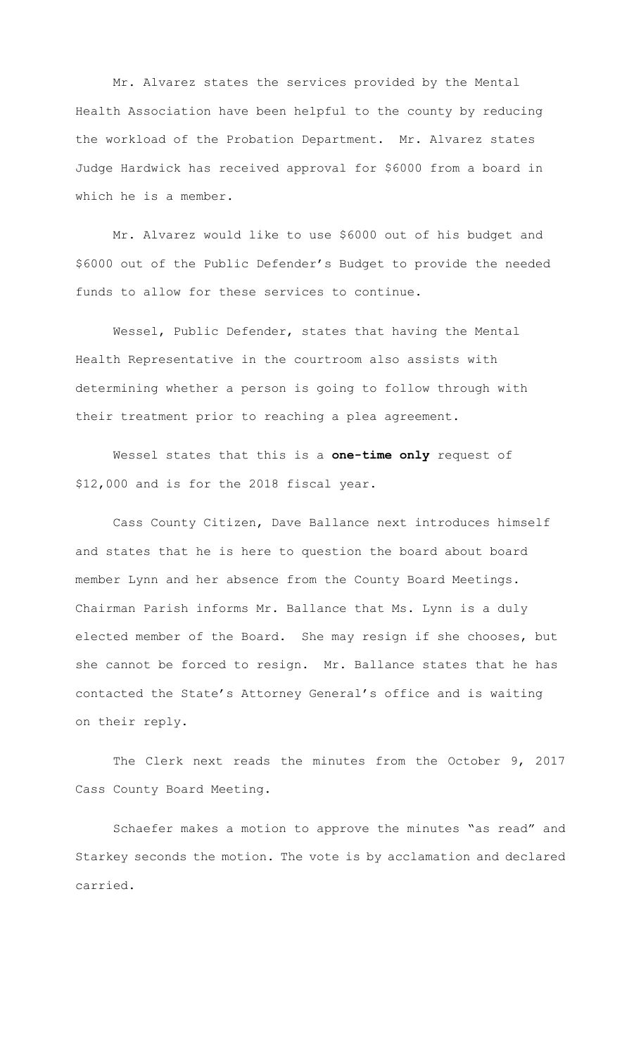Mr. Alvarez states the services provided by the Mental Health Association have been helpful to the county by reducing the workload of the Probation Department. Mr. Alvarez states Judge Hardwick has received approval for \$6000 from a board in which he is a member.

Mr. Alvarez would like to use \$6000 out of his budget and \$6000 out of the Public Defender's Budget to provide the needed funds to allow for these services to continue.

 Wessel, Public Defender, states that having the Mental Health Representative in the courtroom also assists with determining whether a person is going to follow through with their treatment prior to reaching a plea agreement.

Wessel states that this is a **one-time only** request of \$12,000 and is for the 2018 fiscal year.

Cass County Citizen, Dave Ballance next introduces himself and states that he is here to question the board about board member Lynn and her absence from the County Board Meetings. Chairman Parish informs Mr. Ballance that Ms. Lynn is a duly elected member of the Board. She may resign if she chooses, but she cannot be forced to resign. Mr. Ballance states that he has contacted the State's Attorney General's office and is waiting on their reply.

The Clerk next reads the minutes from the October 9, 2017 Cass County Board Meeting.

Schaefer makes a motion to approve the minutes "as read" and Starkey seconds the motion. The vote is by acclamation and declared carried.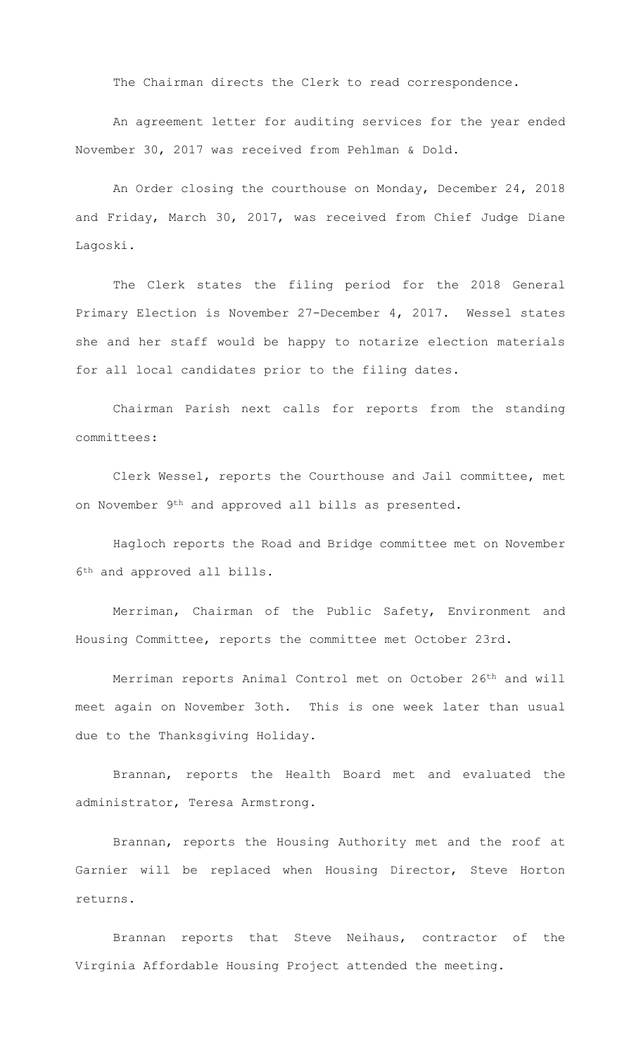The Chairman directs the Clerk to read correspondence.

An agreement letter for auditing services for the year ended November 30, 2017 was received from Pehlman & Dold.

An Order closing the courthouse on Monday, December 24, 2018 and Friday, March 30, 2017, was received from Chief Judge Diane Lagoski.

The Clerk states the filing period for the 2018 General Primary Election is November 27-December 4, 2017. Wessel states she and her staff would be happy to notarize election materials for all local candidates prior to the filing dates.

Chairman Parish next calls for reports from the standing committees:

Clerk Wessel, reports the Courthouse and Jail committee, met on November 9th and approved all bills as presented.

Hagloch reports the Road and Bridge committee met on November 6th and approved all bills.

Merriman, Chairman of the Public Safety, Environment and Housing Committee, reports the committee met October 23rd.

Merriman reports Animal Control met on October 26th and will meet again on November 3oth. This is one week later than usual due to the Thanksgiving Holiday.

Brannan, reports the Health Board met and evaluated the administrator, Teresa Armstrong.

Brannan, reports the Housing Authority met and the roof at Garnier will be replaced when Housing Director, Steve Horton returns.

Brannan reports that Steve Neihaus, contractor of the Virginia Affordable Housing Project attended the meeting.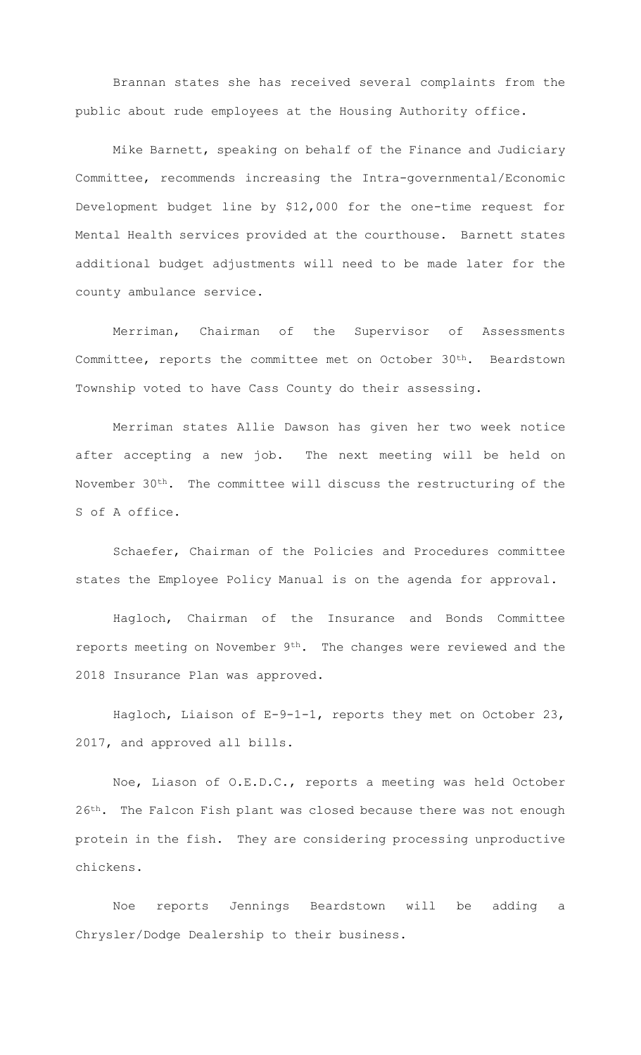Brannan states she has received several complaints from the public about rude employees at the Housing Authority office.

Mike Barnett, speaking on behalf of the Finance and Judiciary Committee, recommends increasing the Intra-governmental/Economic Development budget line by \$12,000 for the one-time request for Mental Health services provided at the courthouse. Barnett states additional budget adjustments will need to be made later for the county ambulance service.

Merriman, Chairman of the Supervisor of Assessments Committee, reports the committee met on October 30th. Beardstown Township voted to have Cass County do their assessing.

Merriman states Allie Dawson has given her two week notice after accepting a new job. The next meeting will be held on November 30th. The committee will discuss the restructuring of the S of A office.

Schaefer, Chairman of the Policies and Procedures committee states the Employee Policy Manual is on the agenda for approval.

Hagloch, Chairman of the Insurance and Bonds Committee reports meeting on November 9<sup>th</sup>. The changes were reviewed and the 2018 Insurance Plan was approved.

Hagloch, Liaison of E-9-1-1, reports they met on October 23, 2017, and approved all bills.

Noe, Liason of O.E.D.C., reports a meeting was held October 26<sup>th</sup>. The Falcon Fish plant was closed because there was not enough protein in the fish. They are considering processing unproductive chickens.

Noe reports Jennings Beardstown will be adding a Chrysler/Dodge Dealership to their business.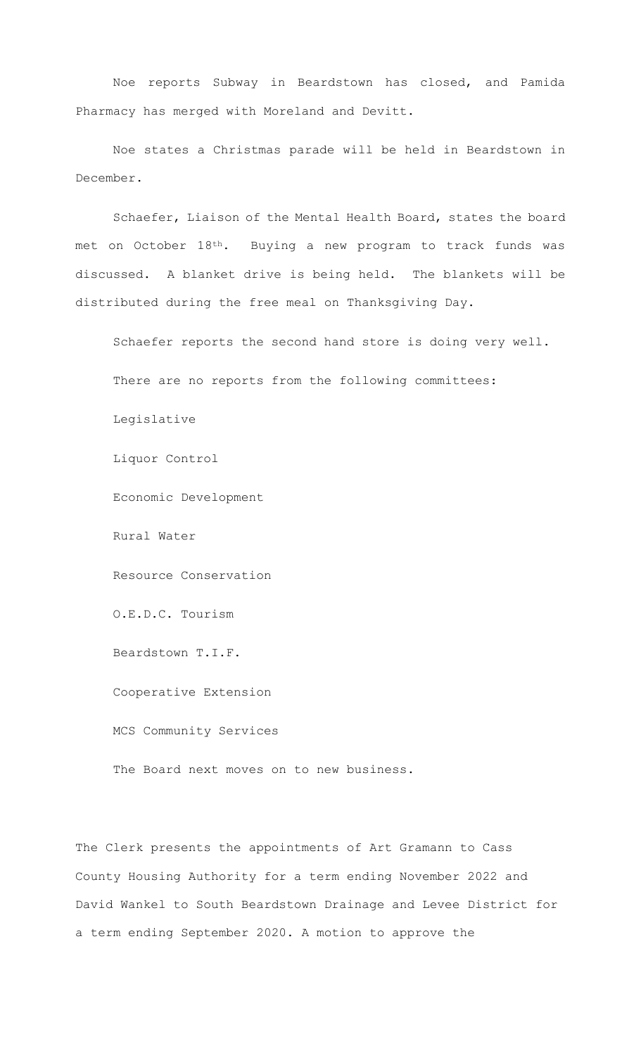Noe reports Subway in Beardstown has closed, and Pamida Pharmacy has merged with Moreland and Devitt.

Noe states a Christmas parade will be held in Beardstown in December.

Schaefer, Liaison of the Mental Health Board, states the board met on October 18th. Buying a new program to track funds was discussed. A blanket drive is being held. The blankets will be distributed during the free meal on Thanksgiving Day.

Schaefer reports the second hand store is doing very well.

There are no reports from the following committees:

Legislative

Liquor Control

Economic Development

Rural Water

Resource Conservation

O.E.D.C. Tourism

Beardstown T.I.F.

Cooperative Extension

MCS Community Services

The Board next moves on to new business.

The Clerk presents the appointments of Art Gramann to Cass County Housing Authority for a term ending November 2022 and David Wankel to South Beardstown Drainage and Levee District for a term ending September 2020. A motion to approve the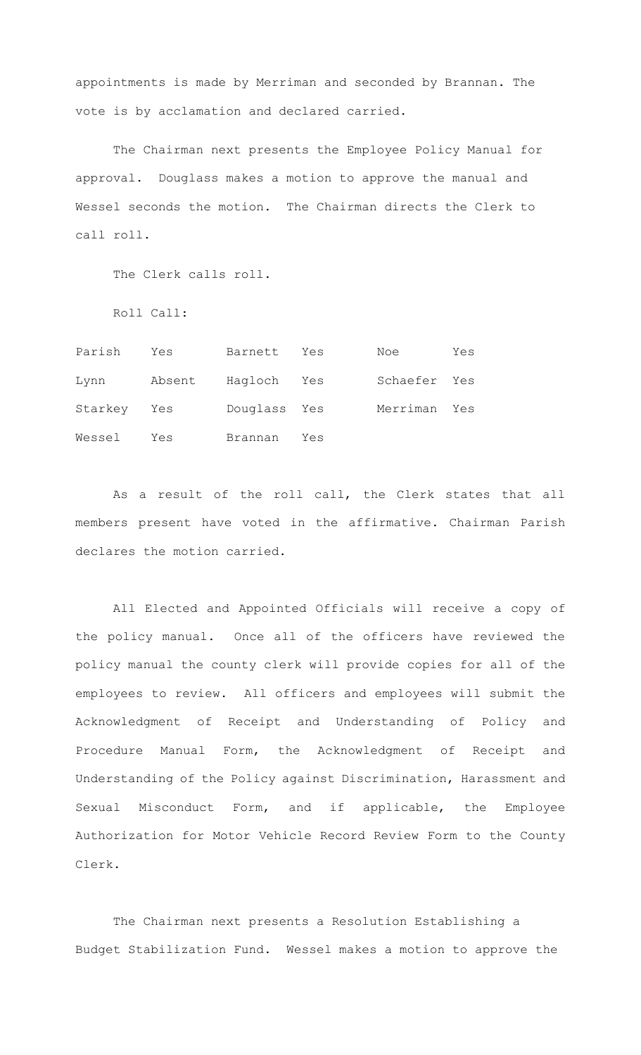appointments is made by Merriman and seconded by Brannan. The vote is by acclamation and declared carried.

The Chairman next presents the Employee Policy Manual for approval. Douglass makes a motion to approve the manual and Wessel seconds the motion. The Chairman directs the Clerk to call roll.

The Clerk calls roll.

Roll Call:

| Parish  | Yes    | Barnett      | Yes | Noe          | Yes |
|---------|--------|--------------|-----|--------------|-----|
| Lynn    | Absent | Hagloch Yes  |     | Schaefer Yes |     |
| Starkey | Yes    | Douglass Yes |     | Merriman Yes |     |
| Wessel  | Yes    | Brannan      | Yes |              |     |

As a result of the roll call, the Clerk states that all members present have voted in the affirmative. Chairman Parish declares the motion carried.

All Elected and Appointed Officials will receive a copy of the policy manual. Once all of the officers have reviewed the policy manual the county clerk will provide copies for all of the employees to review. All officers and employees will submit the Acknowledgment of Receipt and Understanding of Policy and Procedure Manual Form, the Acknowledgment of Receipt and Understanding of the Policy against Discrimination, Harassment and Sexual Misconduct Form, and if applicable, the Employee Authorization for Motor Vehicle Record Review Form to the County Clerk.

The Chairman next presents a Resolution Establishing a Budget Stabilization Fund. Wessel makes a motion to approve the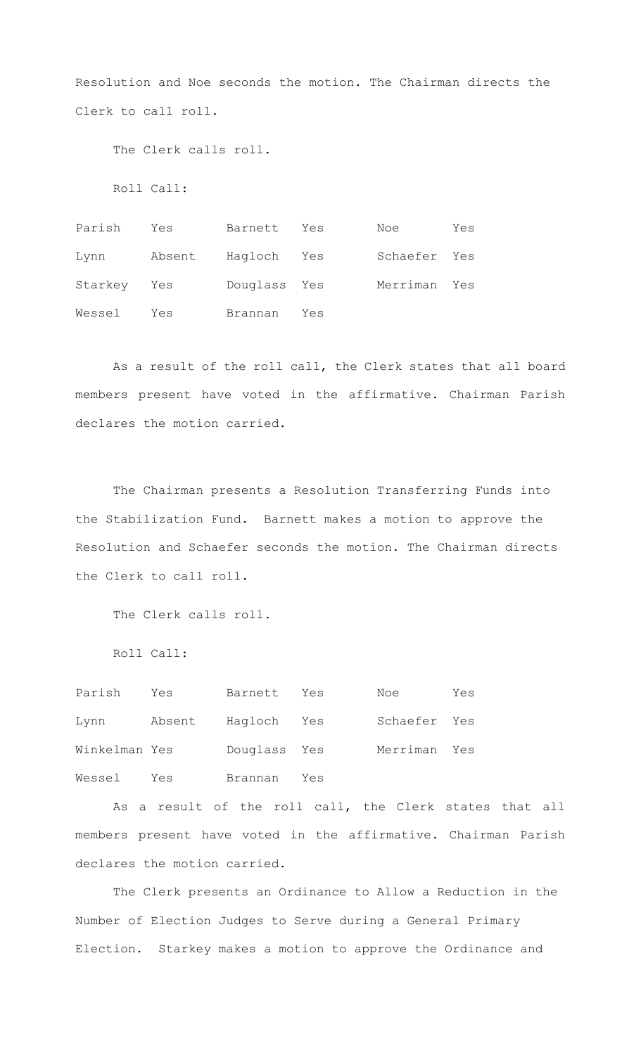Resolution and Noe seconds the motion. The Chairman directs the Clerk to call roll.

The Clerk calls roll.

Roll Call:

Parish Yes Barnett Yes Noe Yes Lynn Absent Hagloch Yes Schaefer Yes Starkey Yes Douglass Yes Merriman Yes Wessel Yes Brannan Yes

As a result of the roll call, the Clerk states that all board members present have voted in the affirmative. Chairman Parish declares the motion carried.

The Chairman presents a Resolution Transferring Funds into the Stabilization Fund. Barnett makes a motion to approve the Resolution and Schaefer seconds the motion. The Chairman directs the Clerk to call roll.

The Clerk calls roll.

Roll Call:

| Parish        | Yes    | Barnett      | Yes | Noe          | Yes |
|---------------|--------|--------------|-----|--------------|-----|
| Lynn          | Absent | Hagloch Yes  |     | Schaefer Yes |     |
| Winkelman Yes |        | Douglass Yes |     | Merriman Yes |     |
| Wessel        | Yes    | Brannan      | Yes |              |     |

As a result of the roll call, the Clerk states that all members present have voted in the affirmative. Chairman Parish declares the motion carried.

The Clerk presents an Ordinance to Allow a Reduction in the Number of Election Judges to Serve during a General Primary Election. Starkey makes a motion to approve the Ordinance and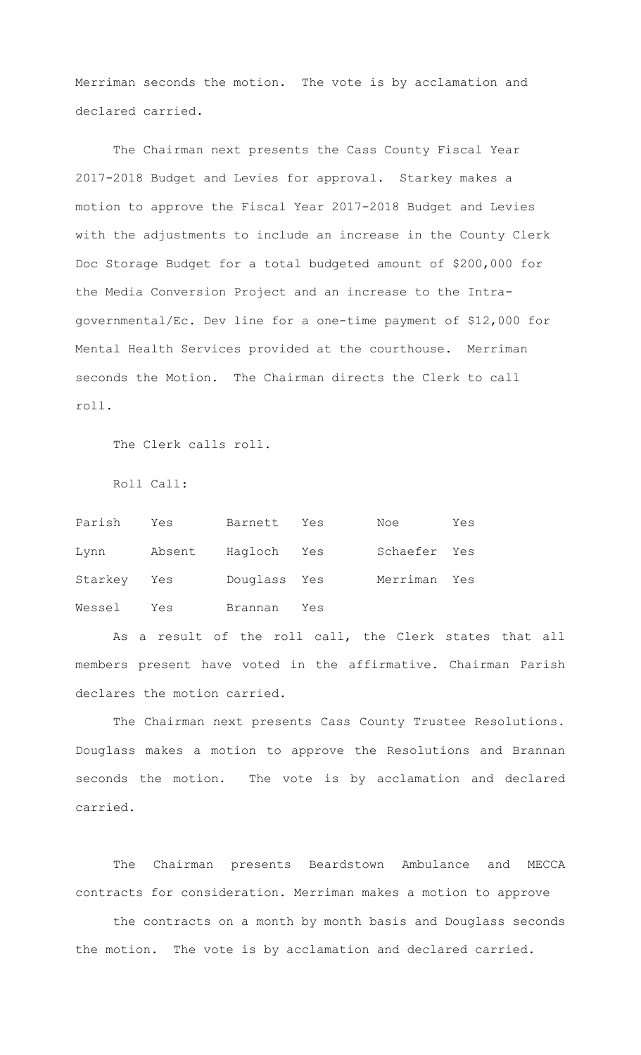Merriman seconds the motion. The vote is by acclamation and declared carried.

The Chairman next presents the Cass County Fiscal Year 2017-2018 Budget and Levies for approval. Starkey makes a motion to approve the Fiscal Year 2017-2018 Budget and Levies with the adjustments to include an increase in the County Clerk Doc Storage Budget for a total budgeted amount of \$200,000 for the Media Conversion Project and an increase to the Intragovernmental/Ec. Dev line for a one-time payment of \$12,000 for Mental Health Services provided at the courthouse. Merriman seconds the Motion. The Chairman directs the Clerk to call roll.

The Clerk calls roll.

Roll Call:

| Parish      | Yes    | Barnett      | Yes | Noe          | Yes |
|-------------|--------|--------------|-----|--------------|-----|
| Lynn        | Absent | Hagloch      | Yes | Schaefer Yes |     |
| Starkey Yes |        | Douglass Yes |     | Merriman Yes |     |
| Wessel      | Yes    | Brannan      | Yes |              |     |

As a result of the roll call, the Clerk states that all members present have voted in the affirmative. Chairman Parish declares the motion carried.

The Chairman next presents Cass County Trustee Resolutions. Douglass makes a motion to approve the Resolutions and Brannan seconds the motion. The vote is by acclamation and declared carried.

The Chairman presents Beardstown Ambulance and MECCA contracts for consideration. Merriman makes a motion to approve

the contracts on a month by month basis and Douglass seconds the motion. The vote is by acclamation and declared carried.